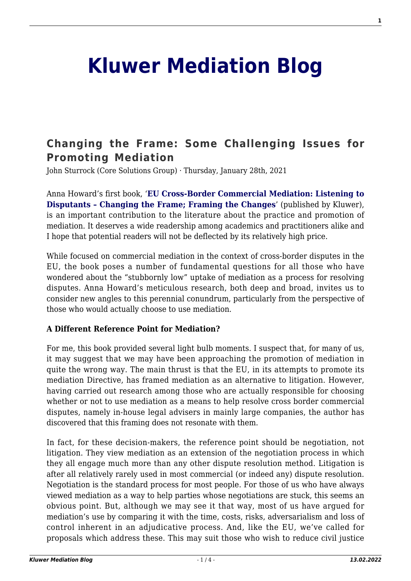# **[Kluwer Mediation Blog](http://mediationblog.kluwerarbitration.com/)**

# **[Changing the Frame: Some Challenging Issues for](http://mediationblog.kluwerarbitration.com/2021/01/28/changing-the-frame-some-challenging-issues-for-promoting-mediation/) [Promoting Mediation](http://mediationblog.kluwerarbitration.com/2021/01/28/changing-the-frame-some-challenging-issues-for-promoting-mediation/)**

John Sturrock (Core Solutions Group) · Thursday, January 28th, 2021

Anna Howard's first book, '**[EU Cross-Border Commercial Mediation: Listening to](https://lrus.wolterskluwer.com/store/product/eu-cross-border-commercial-mediation-listening-to-disputants-changing-the-frame-framing-the-changes/) [Disputants – Changing the Frame; Framing the Changes](https://lrus.wolterskluwer.com/store/product/eu-cross-border-commercial-mediation-listening-to-disputants-changing-the-frame-framing-the-changes/)**' (published by Kluwer), is an important contribution to the literature about the practice and promotion of mediation. It deserves a wide readership among academics and practitioners alike and I hope that potential readers will not be deflected by its relatively high price.

While focused on commercial mediation in the context of cross-border disputes in the EU, the book poses a number of fundamental questions for all those who have wondered about the "stubbornly low" uptake of mediation as a process for resolving disputes. Anna Howard's meticulous research, both deep and broad, invites us to consider new angles to this perennial conundrum, particularly from the perspective of those who would actually choose to use mediation.

## **A Different Reference Point for Mediation?**

For me, this book provided several light bulb moments. I suspect that, for many of us, it may suggest that we may have been approaching the promotion of mediation in quite the wrong way. The main thrust is that the EU, in its attempts to promote its mediation Directive, has framed mediation as an alternative to litigation. However, having carried out research among those who are actually responsible for choosing whether or not to use mediation as a means to help resolve cross border commercial disputes, namely in-house legal advisers in mainly large companies, the author has discovered that this framing does not resonate with them.

In fact, for these decision-makers, the reference point should be negotiation, not litigation. They view mediation as an extension of the negotiation process in which they all engage much more than any other dispute resolution method. Litigation is after all relatively rarely used in most commercial (or indeed any) dispute resolution. Negotiation is the standard process for most people. For those of us who have always viewed mediation as a way to help parties whose negotiations are stuck, this seems an obvious point. But, although we may see it that way, most of us have argued for mediation's use by comparing it with the time, costs, risks, adversarialism and loss of control inherent in an adjudicative process. And, like the EU, we've called for proposals which address these. This may suit those who wish to reduce civil justice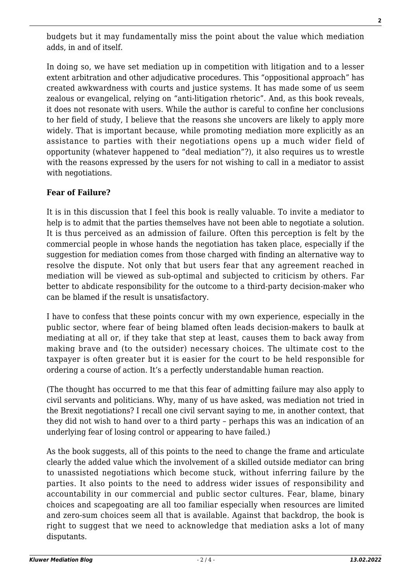budgets but it may fundamentally miss the point about the value which mediation adds, in and of itself.

In doing so, we have set mediation up in competition with litigation and to a lesser extent arbitration and other adjudicative procedures. This "oppositional approach" has created awkwardness with courts and justice systems. It has made some of us seem zealous or evangelical, relying on "anti-litigation rhetoric". And, as this book reveals, it does not resonate with users. While the author is careful to confine her conclusions to her field of study, I believe that the reasons she uncovers are likely to apply more widely. That is important because, while promoting mediation more explicitly as an assistance to parties with their negotiations opens up a much wider field of opportunity (whatever happened to "deal mediation"?), it also requires us to wrestle with the reasons expressed by the users for not wishing to call in a mediator to assist with negotiations.

# **Fear of Failure?**

It is in this discussion that I feel this book is really valuable. To invite a mediator to help is to admit that the parties themselves have not been able to negotiate a solution. It is thus perceived as an admission of failure. Often this perception is felt by the commercial people in whose hands the negotiation has taken place, especially if the suggestion for mediation comes from those charged with finding an alternative way to resolve the dispute. Not only that but users fear that any agreement reached in mediation will be viewed as sub-optimal and subjected to criticism by others. Far better to abdicate responsibility for the outcome to a third-party decision-maker who can be blamed if the result is unsatisfactory.

I have to confess that these points concur with my own experience, especially in the public sector, where fear of being blamed often leads decision-makers to baulk at mediating at all or, if they take that step at least, causes them to back away from making brave and (to the outsider) necessary choices. The ultimate cost to the taxpayer is often greater but it is easier for the court to be held responsible for ordering a course of action. It's a perfectly understandable human reaction.

(The thought has occurred to me that this fear of admitting failure may also apply to civil servants and politicians. Why, many of us have asked, was mediation not tried in the Brexit negotiations? I recall one civil servant saying to me, in another context, that they did not wish to hand over to a third party – perhaps this was an indication of an underlying fear of losing control or appearing to have failed.)

As the book suggests, all of this points to the need to change the frame and articulate clearly the added value which the involvement of a skilled outside mediator can bring to unassisted negotiations which become stuck, without inferring failure by the parties. It also points to the need to address wider issues of responsibility and accountability in our commercial and public sector cultures. Fear, blame, binary choices and scapegoating are all too familiar especially when resources are limited and zero-sum choices seem all that is available. Against that backdrop, the book is right to suggest that we need to acknowledge that mediation asks a lot of many disputants.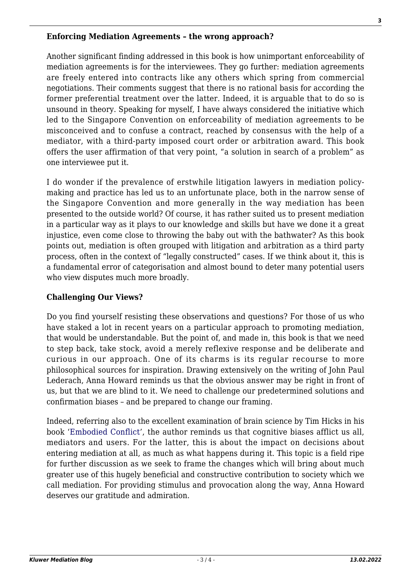## **Enforcing Mediation Agreements – the wrong approach?**

Another significant finding addressed in this book is how unimportant enforceability of mediation agreements is for the interviewees. They go further: mediation agreements are freely entered into contracts like any others which spring from commercial negotiations. Their comments suggest that there is no rational basis for according the former preferential treatment over the latter. Indeed, it is arguable that to do so is unsound in theory. Speaking for myself, I have always considered the initiative which led to the Singapore Convention on enforceability of mediation agreements to be misconceived and to confuse a contract, reached by consensus with the help of a mediator, with a third-party imposed court order or arbitration award. This book offers the user affirmation of that very point, "a solution in search of a problem" as one interviewee put it.

I do wonder if the prevalence of erstwhile litigation lawyers in mediation policymaking and practice has led us to an unfortunate place, both in the narrow sense of the Singapore Convention and more generally in the way mediation has been presented to the outside world? Of course, it has rather suited us to present mediation in a particular way as it plays to our knowledge and skills but have we done it a great injustice, even come close to throwing the baby out with the bathwater? As this book points out, mediation is often grouped with litigation and arbitration as a third party process, often in the context of "legally constructed" cases. If we think about it, this is a fundamental error of categorisation and almost bound to deter many potential users who view disputes much more broadly.

## **Challenging Our Views?**

Do you find yourself resisting these observations and questions? For those of us who have staked a lot in recent years on a particular approach to promoting mediation, that would be understandable. But the point of, and made in, this book is that we need to step back, take stock, avoid a merely reflexive response and be deliberate and curious in our approach. One of its charms is its regular recourse to more philosophical sources for inspiration. Drawing extensively on the writing of John Paul Lederach, Anna Howard reminds us that the obvious answer may be right in front of us, but that we are blind to it. We need to challenge our predetermined solutions and confirmation biases – and be prepared to change our framing.

Indeed, referring also to the excellent examination of brain science by Tim Hicks in his book ['Embodied Conflict'](https://www.routledge.com/Embodied-Conflict-The-Neural-Basis-of-Conflict-and-Communication/Hicks/p/book/9781138087125), the author reminds us that cognitive biases afflict us all, mediators and users. For the latter, this is about the impact on decisions about entering mediation at all, as much as what happens during it. This topic is a field ripe for further discussion as we seek to frame the changes which will bring about much greater use of this hugely beneficial and constructive contribution to society which we call mediation. For providing stimulus and provocation along the way, Anna Howard deserves our gratitude and admiration.